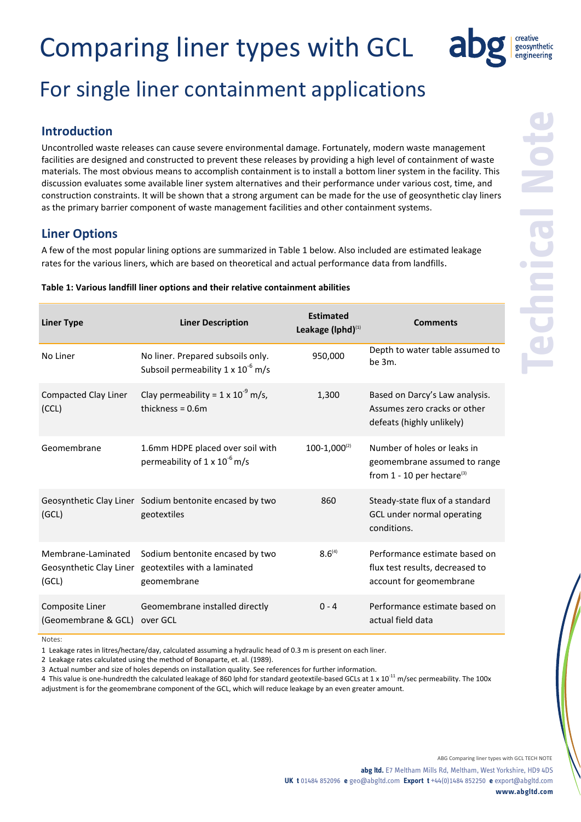

## For single liner containment applications

### **Introduction**

Uncontrolled waste releases can cause severe environmental damage. Fortunately, modern waste management facilities are designed and constructed to prevent these releases by providing a high level of containment of waste materials. The most obvious means to accomplish containment is to install a bottom liner system in the facility. This discussion evaluates some available liner system alternatives and their performance under various cost, time, and construction constraints. It will be shown that a strong argument can be made for the use of geosynthetic clay liners as the primary barrier component of waste management facilities and other containment systems.

### **Liner Options**

A few of the most popular lining options are summarized in Table 1 below. Also included are estimated leakage rates for the various liners, which are based on theoretical and actual performance data from landfills.

| <b>Liner Type</b>                      | <b>Liner Description</b>                                                                               | <b>Estimated</b><br>Leakage (Iphd) <sup>(1)</sup> | <b>Comments</b>                                                                                         |
|----------------------------------------|--------------------------------------------------------------------------------------------------------|---------------------------------------------------|---------------------------------------------------------------------------------------------------------|
| No Liner                               | No liner. Prepared subsoils only.<br>Subsoil permeability $1 \times 10^{-6}$ m/s                       | 950,000                                           | Depth to water table assumed to<br>be 3m.                                                               |
| Compacted Clay Liner<br>(CCL)          | Clay permeability = $1 \times 10^{-9}$ m/s,<br>thickness = $0.6m$                                      | 1,300                                             | Based on Darcy's Law analysis.<br>Assumes zero cracks or other<br>defeats (highly unlikely)             |
| Geomembrane                            | 1.6mm HDPE placed over soil with<br>permeability of $1 \times 10^{-6}$ m/s                             | $100-1,000^{(2)}$                                 | Number of holes or leaks in<br>geomembrane assumed to range<br>from $1 - 10$ per hectare <sup>(3)</sup> |
| (GCL)                                  | Geosynthetic Clay Liner Sodium bentonite encased by two<br>geotextiles                                 | 860                                               | Steady-state flux of a standard<br>GCL under normal operating<br>conditions.                            |
| Membrane-Laminated<br>(GCL)            | Sodium bentonite encased by two<br>Geosynthetic Clay Liner geotextiles with a laminated<br>geomembrane | $8.6^{(4)}$                                       | Performance estimate based on<br>flux test results, decreased to<br>account for geomembrane             |
| Composite Liner<br>(Geomembrane & GCL) | Geomembrane installed directly<br>over GCL                                                             | $0 - 4$                                           | Performance estimate based on<br>actual field data                                                      |

#### **Table 1: Various landfill liner options and their relative containment abilities**

Notes:

1 Leakage rates in litres/hectare/day, calculated assuming a hydraulic head of 0.3 m is present on each liner.

2 Leakage rates calculated using the method of Bonaparte, et. al. (1989).

3 Actual number and size of holes depends on installation quality. See references for further information.

4 This value is one-hundredth the calculated leakage of 860 lphd for standard geotextile-based GCLs at 1 x  $10^{-11}$  m/sec permeability. The 100x adjustment is for the geomembrane component of the GCL, which will reduce leakage by an even greater amount.

ABG Comparing liner types with GCL TECH NOTE

**abg ltd.** E7 Meltham Mills Rd, Meltham, West Yorkshire, HD9 4DS **UK t** 01484 852096 **e** geo@abgltd.com **Export t** +44(0)1484 852250 **e** export@abgltd.com **www.abgltd.com**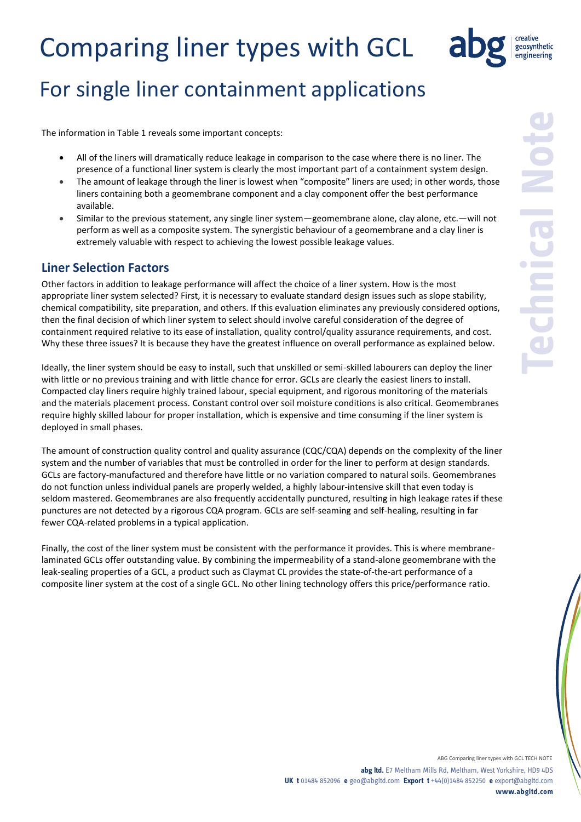

### For single liner containment applications

The information in Table 1 reveals some important concepts:

- All of the liners will dramatically reduce leakage in comparison to the case where there is no liner. The presence of a functional liner system is clearly the most important part of a containment system design.
- The amount of leakage through the liner is lowest when "composite" liners are used; in other words, those liners containing both a geomembrane component and a clay component offer the best performance available.
- Similar to the previous statement, any single liner system—geomembrane alone, clay alone, etc.—will not perform as well as a composite system. The synergistic behaviour of a geomembrane and a clay liner is extremely valuable with respect to achieving the lowest possible leakage values.

### **Liner Selection Factors**

Other factors in addition to leakage performance will affect the choice of a liner system. How is the most appropriate liner system selected? First, it is necessary to evaluate standard design issues such as slope stability, chemical compatibility, site preparation, and others. If this evaluation eliminates any previously considered options, then the final decision of which liner system to select should involve careful consideration of the degree of containment required relative to its ease of installation, quality control/quality assurance requirements, and cost. Why these three issues? It is because they have the greatest influence on overall performance as explained below.

Ideally, the liner system should be easy to install, such that unskilled or semi-skilled labourers can deploy the liner with little or no previous training and with little chance for error. GCLs are clearly the easiest liners to install. Compacted clay liners require highly trained labour, special equipment, and rigorous monitoring of the materials and the materials placement process. Constant control over soil moisture conditions is also critical. Geomembranes require highly skilled labour for proper installation, which is expensive and time consuming if the liner system is deployed in small phases.

The amount of construction quality control and quality assurance (CQC/CQA) depends on the complexity of the liner system and the number of variables that must be controlled in order for the liner to perform at design standards. GCLs are factory-manufactured and therefore have little or no variation compared to natural soils. Geomembranes do not function unless individual panels are properly welded, a highly labour-intensive skill that even today is seldom mastered. Geomembranes are also frequently accidentally punctured, resulting in high leakage rates if these punctures are not detected by a rigorous CQA program. GCLs are self-seaming and self-healing, resulting in far fewer CQA-related problems in a typical application.

Finally, the cost of the liner system must be consistent with the performance it provides. This is where membranelaminated GCLs offer outstanding value. By combining the impermeability of a stand-alone geomembrane with the leak-sealing properties of a GCL, a product such as Claymat CL provides the state-of-the-art performance of a composite liner system at the cost of a single GCL. No other lining technology offers this price/performance ratio.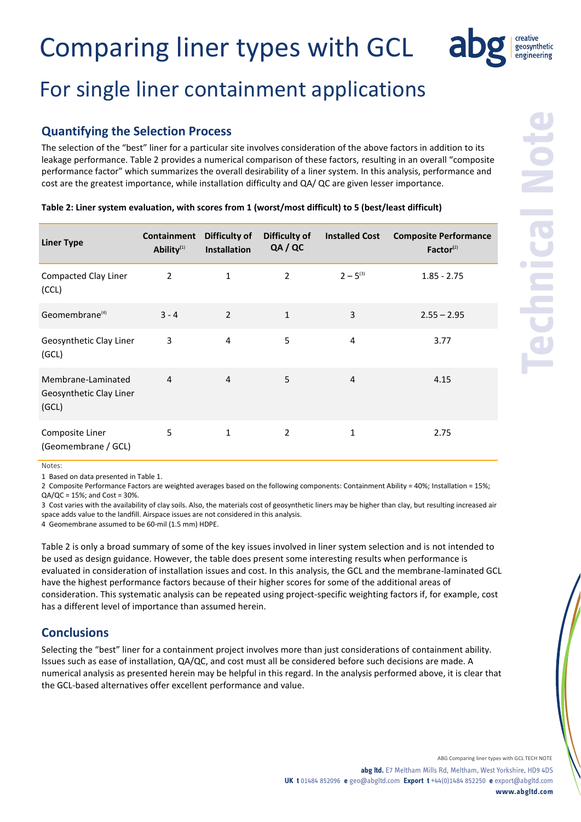### For single liner containment applications

#### **Quantifying the Selection Process**

The selection of the "best" liner for a particular site involves consideration of the above factors in addition to its leakage performance. Table 2 provides a numerical comparison of these factors, resulting in an overall "composite performance factor" which summarizes the overall desirability of a liner system. In this analysis, performance and cost are the greatest importance, while installation difficulty and QA/ QC are given lesser importance.

| <b>Liner Type</b>                                      | Containment<br>Ability <sup>(1)</sup> | Difficulty of<br><b>Installation</b> | Difficulty of<br>QA / QC | <b>Installed Cost</b> | <b>Composite Performance</b><br>Factor <sup>(2)</sup> |
|--------------------------------------------------------|---------------------------------------|--------------------------------------|--------------------------|-----------------------|-------------------------------------------------------|
| <b>Compacted Clay Liner</b><br>(CCL)                   | 2                                     | 1                                    | $\overline{2}$           | $2 - 5^{(3)}$         | $1.85 - 2.75$                                         |
| Geomembrane <sup>(4)</sup>                             | $3 - 4$                               | $\overline{2}$                       | $\mathbf{1}$             | 3                     | $2.55 - 2.95$                                         |
| Geosynthetic Clay Liner<br>(GCL)                       | 3                                     | $\overline{4}$                       | 5                        | 4                     | 3.77                                                  |
| Membrane-Laminated<br>Geosynthetic Clay Liner<br>(GCL) | $\overline{4}$                        | $\overline{4}$                       | 5                        | 4                     | 4.15                                                  |
| Composite Liner<br>(Geomembrane / GCL)                 | 5                                     | 1                                    | $\overline{2}$           | $\mathbf{1}$          | 2.75                                                  |

#### **Table 2: Liner system evaluation, with scores from 1 (worst/most difficult) to 5 (best/least difficult)**

Notes:

1 Based on data presented in Table 1.

2 Composite Performance Factors are weighted averages based on the following components: Containment Ability = 40%; Installation = 15%;  $QA/QC = 15$ %; and  $Cost = 30$ %.

3 Cost varies with the availability of clay soils. Also, the materials cost of geosynthetic liners may be higher than clay, but resulting increased air space adds value to the landfill. Airspace issues are not considered in this analysis.

4 Geomembrane assumed to be 60-mil (1.5 mm) HDPE.

Table 2 is only a broad summary of some of the key issues involved in liner system selection and is not intended to be used as design guidance. However, the table does present some interesting results when performance is evaluated in consideration of installation issues and cost. In this analysis, the GCL and the membrane-laminated GCL have the highest performance factors because of their higher scores for some of the additional areas of consideration. This systematic analysis can be repeated using project-specific weighting factors if, for example, cost has a different level of importance than assumed herein.

#### **Conclusions**

Selecting the "best" liner for a containment project involves more than just considerations of containment ability. Issues such as ease of installation, QA/QC, and cost must all be considered before such decisions are made. A numerical analysis as presented herein may be helpful in this regard. In the analysis performed above, it is clear that the GCL-based alternatives offer excellent performance and value.